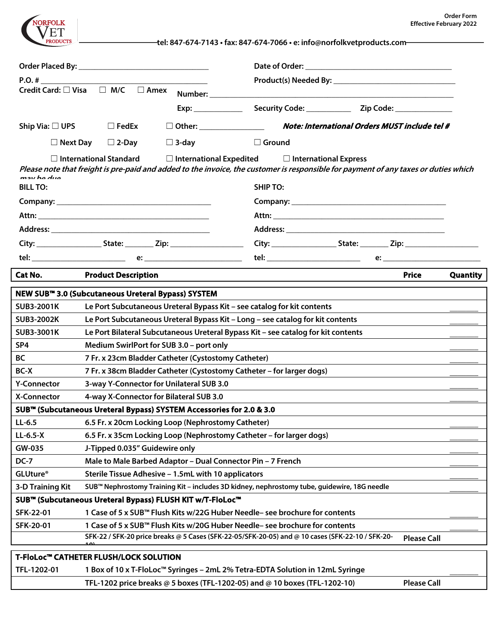**tel: 847-674-7143 • fax: 847-674-7066 • e: info@norfolkvetproducts.com** VET **RODUCTS Order Placed By: \_\_\_\_\_\_\_\_\_\_\_\_\_\_\_\_\_\_\_\_\_\_\_\_\_\_\_\_\_\_\_\_ Date of Order: \_\_\_\_\_\_\_\_\_\_\_\_\_\_\_\_\_\_\_\_\_\_\_\_\_\_\_\_\_\_\_\_\_\_\_\_ P.O. # \_\_\_\_\_\_\_\_\_\_\_\_\_\_\_\_\_\_\_\_\_\_\_\_\_\_\_\_\_\_\_\_\_\_\_\_\_\_\_\_\_ Product(s) Needed By: \_\_\_\_\_\_\_\_\_\_\_\_\_\_\_\_\_\_\_\_\_\_\_\_\_\_\_\_\_\_** Credit Card: □ Visa □ M/C □ Amex Number: **Exp: \_\_\_\_\_\_\_\_\_\_\_\_ Security Code: \_\_\_\_\_\_\_\_\_\_\_ Zip Code: \_\_\_\_\_\_\_\_\_\_\_\_\_\_ Ship Via:** ☐ **UPS** ☐ **FedEx** ☐ **Other: \_\_\_\_\_\_\_\_\_\_\_\_\_\_\_\_ Note: International Orders MUST include tel #** ☐ **Next Day** ☐ **2-Day** ☐ **3-day** ☐ **Ground** ☐ **International Standard** ☐ **International Expedited** ☐ **International Express Please note that freight is pre-paid and added to the invoice, the customer is responsible for payment of any taxes or duties which may be due. BILL TO: SHIP TO: Company: \_\_\_\_\_\_\_\_\_\_\_\_\_\_\_\_\_\_\_\_\_\_\_\_\_\_\_\_\_\_\_\_\_\_\_\_\_\_ Company: \_\_\_\_\_\_\_\_\_\_\_\_\_\_\_\_\_\_\_\_\_\_\_\_\_\_\_\_\_\_\_\_\_\_\_\_\_\_ Attn: \_\_\_\_\_\_\_\_\_\_\_\_\_\_\_\_\_\_\_\_\_\_\_\_\_\_\_\_\_\_\_\_\_\_\_\_\_\_\_\_\_\_ Attn: \_\_\_\_\_\_\_\_\_\_\_\_\_\_\_\_\_\_\_\_\_\_\_\_\_\_\_\_\_\_\_\_\_\_\_\_\_\_\_\_\_\_ Address: \_\_\_\_\_\_\_\_\_\_\_\_\_\_\_\_\_\_\_\_\_\_\_\_\_\_\_\_\_\_\_\_\_\_\_\_\_\_\_ Address: \_\_\_\_\_\_\_\_\_\_\_\_\_\_\_\_\_\_\_\_\_\_\_\_\_\_\_\_\_\_\_\_\_\_\_\_\_\_\_ City: \_\_\_\_\_\_\_\_\_\_\_\_\_\_\_\_ State: \_\_\_\_\_\_\_ Zip: \_\_\_\_\_\_\_\_\_\_\_\_\_\_\_\_\_\_ City: \_\_\_\_\_\_\_\_\_\_\_\_\_\_\_\_ State: \_\_\_\_\_\_\_ Zip: \_\_\_\_\_\_\_\_\_\_\_\_\_\_\_\_\_\_ tel: \_\_\_\_\_\_\_\_\_\_\_\_\_\_\_\_\_\_\_\_\_\_\_ e: \_\_\_\_\_\_\_\_\_\_\_\_\_\_\_\_\_\_\_\_\_\_\_\_ tel: \_\_\_\_\_\_\_\_\_\_\_\_\_\_\_\_\_\_\_\_\_\_\_ e: \_\_\_\_\_\_\_\_\_\_\_\_\_\_\_\_\_\_\_\_\_\_\_\_ Cat No. Product Description Price Quantity NEW SUB™ 3.0 (Subcutaneous Ureteral Bypass) SYSTEM SUB3-2001K Le Port Subcutaneous Ureteral Bypass Kit – see catalog for kit contents \_\_\_\_\_\_\_ SUB3-2002K Le Port Subcutaneous Ureteral Bypass Kit – Long – see catalog for kit contents \_\_\_\_\_\_\_ SUB3-3001K Le Port Bilateral Subcutaneous Ureteral Bypass Kit – see catalog for kit contents \_\_\_\_\_\_\_ SP4 Medium SwirlPort for SUB 3.0 – port only \_\_\_\_\_\_\_ BC 7 Fr. x 23cm Bladder Catheter (Cystostomy Catheter) \_\_\_\_\_\_\_ BC-X 7 Fr. x 38cm Bladder Catheter (Cystostomy Catheter – for larger dogs) \_\_\_\_\_\_\_ Y-Connector 3-way Y-Connector for Unilateral SUB 3.0 \_\_\_\_\_\_\_ X-Connector 4-way X-Connector for Bilateral SUB 3.0 \_\_\_\_\_\_\_ SUB™ (Subcutaneous Ureteral Bypass) SYSTEM Accessories for 2.0 & 3.0 LL-6.5 6.5 Fr. x 20cm Locking Loop (Nephrostomy Catheter) \_\_\_\_\_\_\_ LL-6.5-X 6.5 Fr. x 35cm Locking Loop (Nephrostomy Catheter – for larger dogs) \_\_\_\_\_\_\_ GW-035 J-Tipped 0.035" Guidewire only \_\_\_\_\_\_\_ DC-7 Male to Male Barbed Adaptor – Dual Connector Pin – 7 French GLUture® Sterile Tissue Adhesive – 1.5mL with 10 applicators \_\_\_\_\_\_\_ 3-D Training Kit SUB™ Nephrostomy Training Kit – includes 3D kidney, nephrostomy tube, guidewire, 18G needle \_\_\_\_\_\_\_ SUB™ (Subcutaneous Ureteral Bypass) FLUSH KIT w/T-FloLoc™ SFK-22-01 1 Case of 5 x SUB™ Flush Kits w/22G Huber Needle– see brochure for contents \_\_\_\_\_\_\_ SFK-20-01 1 Case of 5 x SUB™ Flush Kits w/20G Huber Needle– see brochure for contents \_\_\_\_\_\_\_ SFK-22 / SFK-20 price breaks @ 5 Cases (SFK-22-05/SFK-20-05) and @ 10 cases (SFK-22-10 / SFK-20- 10) Please Call T-FloLoc™ CATHETER FLUSH/LOCK SOLUTION TFL-1202-01 1 Box of 10 x T-FloLoc™ Syringes – 2mL 2% Tetra-EDTA Solution in 12mL Syringe \_\_\_\_\_\_\_ TFL-1202 price breaks @ 5 boxes (TFL-1202-05) and @ 10 boxes (TFL-1202-10) Please Call**

NORFOLK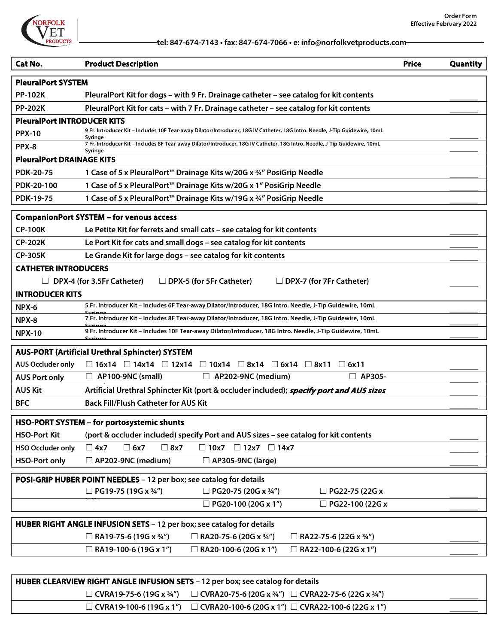

| Cat No.                                                               | <b>Product Description</b>                                                                                                             | <b>Price</b> | <b>Quantity</b> |  |  |  |
|-----------------------------------------------------------------------|----------------------------------------------------------------------------------------------------------------------------------------|--------------|-----------------|--|--|--|
| <b>PleuralPort SYSTEM</b>                                             |                                                                                                                                        |              |                 |  |  |  |
| <b>PP-102K</b>                                                        | PleuralPort Kit for dogs - with 9 Fr. Drainage catheter - see catalog for kit contents                                                 |              |                 |  |  |  |
| <b>PP-202K</b>                                                        | PleuralPort Kit for cats - with 7 Fr. Drainage catheter - see catalog for kit contents                                                 |              |                 |  |  |  |
| <b>PleuralPort INTRODUCER KITS</b>                                    |                                                                                                                                        |              |                 |  |  |  |
| <b>PPX-10</b>                                                         | 9 Fr. Introducer Kit – Includes 10F Tear-away Dilator/Introducer, 18G IV Catheter, 18G Intro. Needle, J-Tip Guidewire, 10mL<br>Svringe |              |                 |  |  |  |
| PPX-8                                                                 | 7 Fr. Introducer Kit - Includes 8F Tear-away Dilator/Introducer, 18G IV Catheter, 18G Intro. Needle, J-Tip Guidewire, 10mL<br>Syringe  |              |                 |  |  |  |
| <b>PleuralPort DRAINAGE KITS</b>                                      |                                                                                                                                        |              |                 |  |  |  |
| <b>PDK-20-75</b>                                                      | 1 Case of 5 x PleuralPort <sup>™</sup> Drainage Kits w/20G x 3/4" PosiGrip Needle                                                      |              |                 |  |  |  |
| PDK-20-100                                                            | 1 Case of 5 x PleuralPort <sup>™</sup> Drainage Kits w/20G x 1" PosiGrip Needle                                                        |              |                 |  |  |  |
| <b>PDK-19-75</b>                                                      | 1 Case of 5 x PleuralPort™ Drainage Kits w/19G x 34" PosiGrip Needle                                                                   |              |                 |  |  |  |
|                                                                       | <b>CompanionPort SYSTEM - for venous access</b>                                                                                        |              |                 |  |  |  |
| <b>CP-100K</b>                                                        | Le Petite Kit for ferrets and small cats - see catalog for kit contents                                                                |              |                 |  |  |  |
| <b>CP-202K</b>                                                        | Le Port Kit for cats and small dogs - see catalog for kit contents                                                                     |              |                 |  |  |  |
| <b>CP-305K</b>                                                        | Le Grande Kit for large dogs - see catalog for kit contents                                                                            |              |                 |  |  |  |
| <b>CATHETER INTRODUCERS</b>                                           |                                                                                                                                        |              |                 |  |  |  |
|                                                                       | DPX-4 (for 3.5Fr Catheter)<br>$\Box$ DPX-5 (for 5Fr Catheter)<br>$\Box$ DPX-7 (for 7Fr Catheter)                                       |              |                 |  |  |  |
| <b>INTRODUCER KITS</b>                                                |                                                                                                                                        |              |                 |  |  |  |
| NPX-6                                                                 | 5 Fr. Introducer Kit - Includes 6F Tear-away Dilator/Introducer, 18G Intro. Needle, J-Tip Guidewire, 10mL                              |              |                 |  |  |  |
| NPX-8                                                                 | 7 Fr. Introducer Kit - Includes 8F Tear-away Dilator/Introducer, 18G Intro. Needle, J-Tip Guidewire, 10mL                              |              |                 |  |  |  |
| <b>NPX-10</b>                                                         | 9 Fr. Introducer Kit - Includes 10F Tear-away Dilator/Introducer, 18G Intro. Needle, J-Tip Guidewire, 10mL                             |              |                 |  |  |  |
|                                                                       | <b>AUS-PORT (Artificial Urethral Sphincter) SYSTEM</b>                                                                                 |              |                 |  |  |  |
| <b>AUS Occluder only</b>                                              | $\Box$ 16x14 $\Box$ 14x14 $\Box$ 12x14 $\Box$ 10x14 $\Box$ 8x14 $\Box$ 6x14 $\Box$ 8x11 $\Box$ 6x11                                    |              |                 |  |  |  |
| <b>AUS Port only</b>                                                  | □ AP305-<br>$\Box$ AP100-9NC (small)<br>$\Box$ AP202-9NC (medium)                                                                      |              |                 |  |  |  |
| <b>AUS Kit</b>                                                        | Artificial Urethral Sphincter Kit (port & occluder included); specify port and AUS sizes                                               |              |                 |  |  |  |
| <b>BFC</b>                                                            | <b>Back Fill/Flush Catheter for AUS Kit</b>                                                                                            |              |                 |  |  |  |
|                                                                       | HSO-PORT SYSTEM - for portosystemic shunts                                                                                             |              |                 |  |  |  |
| <b>HSO-Port Kit</b>                                                   | (port & occluder included) specify Port and AUS sizes - see catalog for kit contents                                                   |              |                 |  |  |  |
| <b>HSO Occluder only</b>                                              | $\square$ 6x7<br>$\Box$ 8x7<br>$\square$ 4x7<br>$\Box$ 10x7<br>$\Box$ 12x7<br>$\Box$ 14x7                                              |              |                 |  |  |  |
| <b>HSO-Port only</b>                                                  | $\Box$ AP202-9NC (medium)<br>$\Box$ AP305-9NC (large)                                                                                  |              |                 |  |  |  |
|                                                                       |                                                                                                                                        |              |                 |  |  |  |
|                                                                       | POSI-GRIP HUBER POINT NEEDLES - 12 per box; see catalog for details                                                                    |              |                 |  |  |  |
|                                                                       | $\Box$ PG19-75 (19G x 3/4")<br>$\Box$ PG20-75 (20G x 3/4")<br>$\Box$ PG22-75 (22G x                                                    |              |                 |  |  |  |
|                                                                       | $\Box$ PG20-100 (20G x 1")<br>$\Box$ PG22-100 (22G x                                                                                   |              |                 |  |  |  |
| HUBER RIGHT ANGLE INFUSION SETS - 12 per box; see catalog for details |                                                                                                                                        |              |                 |  |  |  |
|                                                                       | $\Box$ RA19-75-6 (19G x 3/4")<br>$\Box$ RA20-75-6 (20G x 3/4")<br>$\Box$ RA22-75-6 (22G x 3/4")                                        |              |                 |  |  |  |
|                                                                       | $\Box$ RA19-100-6 (19G x 1")<br>$\Box$ RA20-100-6 (20G x 1")<br>$\Box$ RA22-100-6 (22G x 1")                                           |              |                 |  |  |  |
|                                                                       |                                                                                                                                        |              |                 |  |  |  |

| HUBER CLEARVIEW RIGHT ANGLE INFUSION SETS - 12 per box; see catalog for details |                                                     |  |  |  |  |  |
|---------------------------------------------------------------------------------|-----------------------------------------------------|--|--|--|--|--|
| $\Box$ CVRA19-75-6 (19G x ¾")                                                   | □ CVRA20-75-6 (20G x ¾") □ CVRA22-75-6 (22G x ¾")   |  |  |  |  |  |
| $\Box$ CVRA19-100-6 (19G x 1")                                                  | □ CVRA20-100-6 (20G x 1") □ CVRA22-100-6 (22G x 1") |  |  |  |  |  |